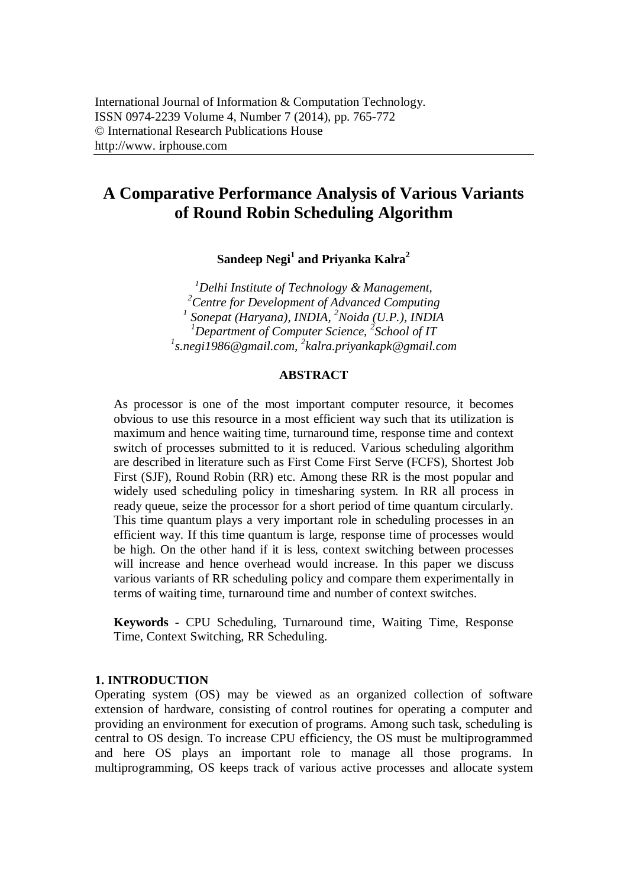# **A Comparative Performance Analysis of Various Variants of Round Robin Scheduling Algorithm**

**Sandeep Negi<sup>1</sup> and Priyanka Kalra<sup>2</sup>**

*Delhi Institute of Technology & Management, Centre for Development of Advanced Computing Sonepat (Haryana), INDIA, <sup>2</sup>Noida (U.P.), INDIA Department of Computer Science, 2 School of IT s.negi1986@gmail.com, 2 kalra.priyankapk@gmail.com*

## **ABSTRACT**

As processor is one of the most important computer resource, it becomes obvious to use this resource in a most efficient way such that its utilization is maximum and hence waiting time, turnaround time, response time and context switch of processes submitted to it is reduced. Various scheduling algorithm are described in literature such as First Come First Serve (FCFS), Shortest Job First (SJF), Round Robin (RR) etc. Among these RR is the most popular and widely used scheduling policy in timesharing system. In RR all process in ready queue, seize the processor for a short period of time quantum circularly. This time quantum plays a very important role in scheduling processes in an efficient way. If this time quantum is large, response time of processes would be high. On the other hand if it is less, context switching between processes will increase and hence overhead would increase. In this paper we discuss various variants of RR scheduling policy and compare them experimentally in terms of waiting time, turnaround time and number of context switches.

**Keywords -** CPU Scheduling, Turnaround time, Waiting Time, Response Time, Context Switching, RR Scheduling.

## **1. INTRODUCTION**

Operating system (OS) may be viewed as an organized collection of software extension of hardware, consisting of control routines for operating a computer and providing an environment for execution of programs. Among such task, scheduling is central to OS design. To increase CPU efficiency, the OS must be multiprogrammed and here OS plays an important role to manage all those programs. In multiprogramming, OS keeps track of various active processes and allocate system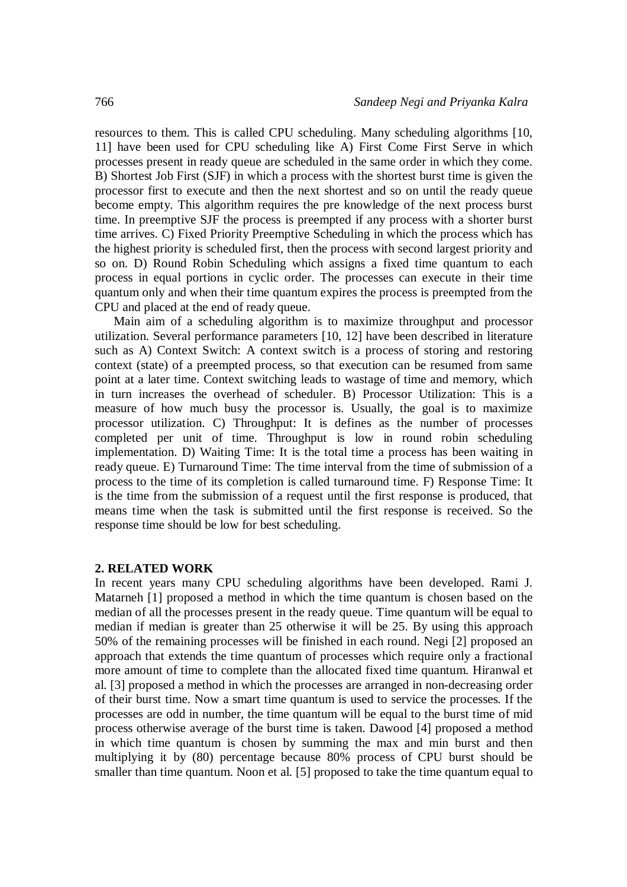resources to them. This is called CPU scheduling. Many scheduling algorithms [10, 11] have been used for CPU scheduling like A) First Come First Serve in which processes present in ready queue are scheduled in the same order in which they come. B) Shortest Job First (SJF) in which a process with the shortest burst time is given the processor first to execute and then the next shortest and so on until the ready queue become empty. This algorithm requires the pre knowledge of the next process burst time. In preemptive SJF the process is preempted if any process with a shorter burst time arrives. C) Fixed Priority Preemptive Scheduling in which the process which has the highest priority is scheduled first, then the process with second largest priority and so on. D) Round Robin Scheduling which assigns a fixed time quantum to each process in equal portions in cyclic order. The processes can execute in their time quantum only and when their time quantum expires the process is preempted from the CPU and placed at the end of ready queue.

Main aim of a scheduling algorithm is to maximize throughput and processor utilization. Several performance parameters [10, 12] have been described in literature such as A) Context Switch: A context switch is a process of storing and restoring context (state) of a preempted process, so that execution can be resumed from same point at a later time. Context switching leads to wastage of time and memory, which in turn increases the overhead of scheduler. B) Processor Utilization: This is a measure of how much busy the processor is. Usually, the goal is to maximize processor utilization. C) Throughput: It is defines as the number of processes completed per unit of time. Throughput is low in round robin scheduling implementation. D) Waiting Time: It is the total time a process has been waiting in ready queue. E) Turnaround Time: The time interval from the time of submission of a process to the time of its completion is called turnaround time. F) Response Time: It is the time from the submission of a request until the first response is produced, that means time when the task is submitted until the first response is received. So the response time should be low for best scheduling.

#### **2. RELATED WORK**

In recent years many CPU scheduling algorithms have been developed. Rami J. Matarneh [1] proposed a method in which the time quantum is chosen based on the median of all the processes present in the ready queue. Time quantum will be equal to median if median is greater than 25 otherwise it will be 25. By using this approach 50% of the remaining processes will be finished in each round. Negi [2] proposed an approach that extends the time quantum of processes which require only a fractional more amount of time to complete than the allocated fixed time quantum. Hiranwal et al. [3] proposed a method in which the processes are arranged in non-decreasing order of their burst time. Now a smart time quantum is used to service the processes. If the processes are odd in number, the time quantum will be equal to the burst time of mid process otherwise average of the burst time is taken. Dawood [4] proposed a method in which time quantum is chosen by summing the max and min burst and then multiplying it by (80) percentage because 80% process of CPU burst should be smaller than time quantum. Noon et al. [5] proposed to take the time quantum equal to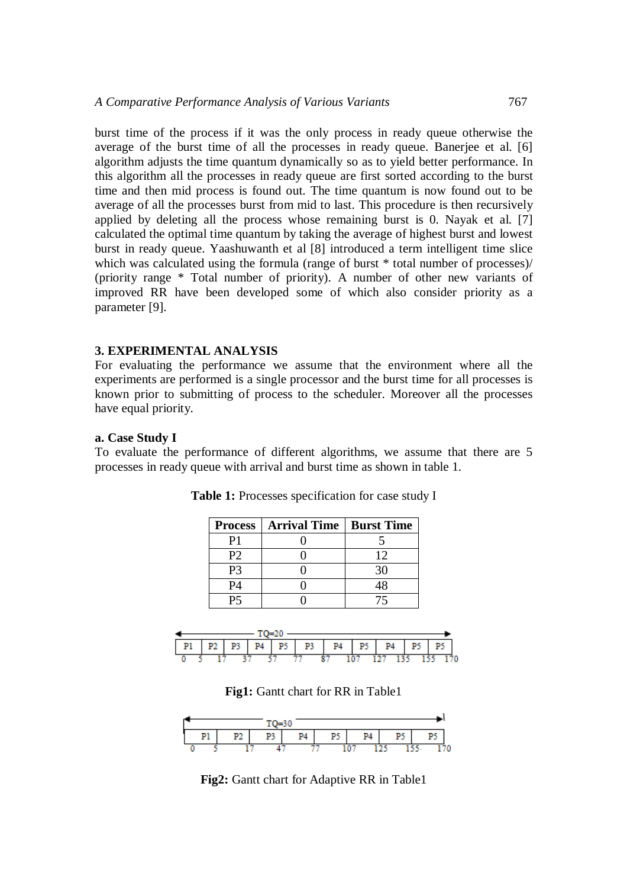burst time of the process if it was the only process in ready queue otherwise the average of the burst time of all the processes in ready queue. Banerjee et al. [6] algorithm adjusts the time quantum dynamically so as to yield better performance. In this algorithm all the processes in ready queue are first sorted according to the burst time and then mid process is found out. The time quantum is now found out to be average of all the processes burst from mid to last. This procedure is then recursively applied by deleting all the process whose remaining burst is 0. Nayak et al. [7] calculated the optimal time quantum by taking the average of highest burst and lowest burst in ready queue. Yaashuwanth et al [8] introduced a term intelligent time slice which was calculated using the formula (range of burst  $*$  total number of processes)/ (priority range \* Total number of priority). A number of other new variants of improved RR have been developed some of which also consider priority as a parameter [9].

#### **3. EXPERIMENTAL ANALYSIS**

For evaluating the performance we assume that the environment where all the experiments are performed is a single processor and the burst time for all processes is known prior to submitting of process to the scheduler. Moreover all the processes have equal priority.

#### **a. Case Study I**

To evaluate the performance of different algorithms, we assume that there are 5 processes in ready queue with arrival and burst time as shown in table 1.

|    | <b>Process   Arrival Time   Burst Time  </b> |    |
|----|----------------------------------------------|----|
|    |                                              |    |
| P2 |                                              | 12 |
| P3 |                                              |    |
| 94 |                                              |    |
|    |                                              |    |

**Table 1:** Processes specification for case study I



**Fig1:** Gantt chart for RR in Table1



**Fig2:** Gantt chart for Adaptive RR in Table1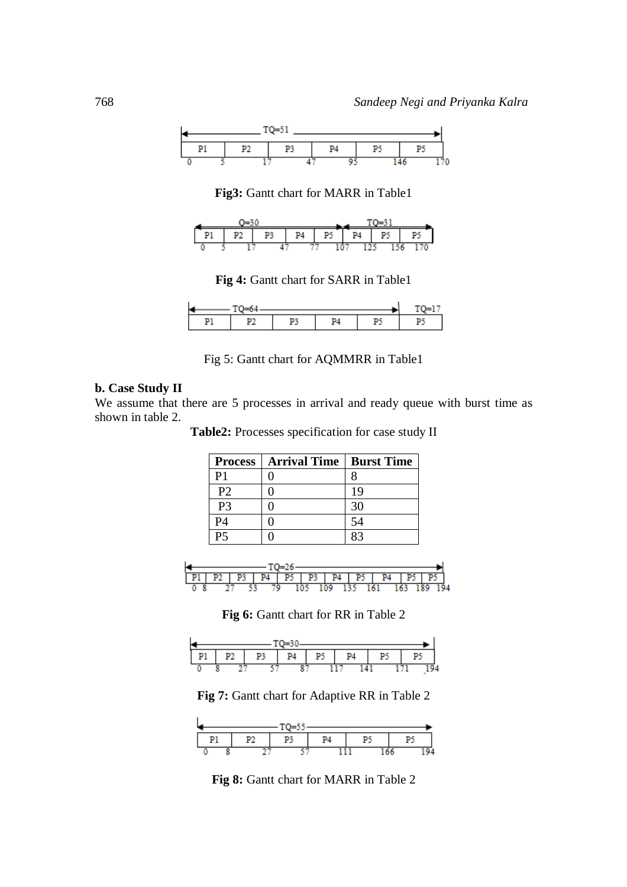

**Fig3:** Gantt chart for MARR in Table1

| u |  |  | DИ | יט |  | D | т. |  |  |  |
|---|--|--|----|----|--|---|----|--|--|--|
|   |  |  |    |    |  |   |    |  |  |  |

**Fig 4:** Gantt chart for SARR in Table1

| L |  |  |  |  |  |
|---|--|--|--|--|--|
|   |  |  |  |  |  |

Fig 5: Gantt chart for AQMMRR in Table1

### **b. Case Study II**

We assume that there are 5 processes in arrival and ready queue with burst time as shown in table 2.

**Table2:** Processes specification for case study II

| <b>Process</b> | Arrival Time   Burst Time |    |
|----------------|---------------------------|----|
| P1             |                           |    |
| P <sub>2</sub> |                           | 19 |
| P <sub>3</sub> |                           |    |
| P <sub>4</sub> |                           | 54 |
|                |                           |    |



**Fig 6:** Gantt chart for RR in Table 2

| $-1$    |  |    |    |    |    |    |    |    |  |
|---------|--|----|----|----|----|----|----|----|--|
| Pl<br>ı |  | מס | P3 | P4 | P5 | P4 | p٠ | P. |  |
|         |  |    |    |    |    |    |    |    |  |

**Fig 7:** Gantt chart for Adaptive RR in Table 2



**Fig 8:** Gantt chart for MARR in Table 2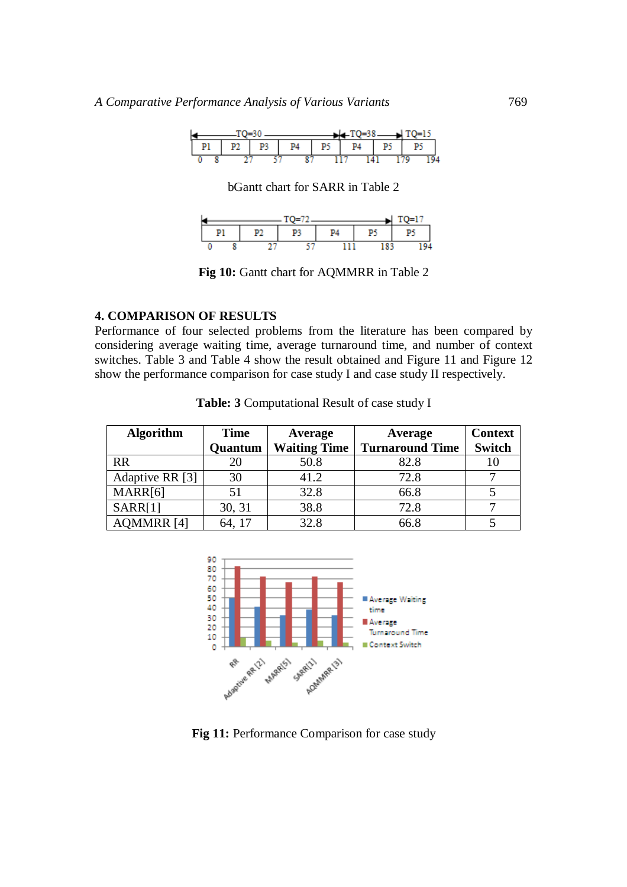|    |  |    |    |    |    | $-LT$ O=38 |    |    |  |
|----|--|----|----|----|----|------------|----|----|--|
| P1 |  | P2 | P3 | P4 | P٢ | P4         | P۶ | P۶ |  |
|    |  |    |    |    |    |            |    |    |  |

bGantt chart for SARR in Table 2

|  | $TO=72$ |  | $1 - 1^{\circ}$ |
|--|---------|--|-----------------|
|  |         |  | P5              |
|  |         |  |                 |

**Fig 10:** Gantt chart for AQMMRR in Table 2

#### **4. COMPARISON OF RESULTS**

Performance of four selected problems from the literature has been compared by considering average waiting time, average turnaround time, and number of context switches. Table 3 and Table 4 show the result obtained and Figure 11 and Figure 12 show the performance comparison for case study I and case study II respectively.

| <b>Algorithm</b>  | <b>Time</b> | Average             | Average                | <b>Context</b> |
|-------------------|-------------|---------------------|------------------------|----------------|
|                   | Quantum     | <b>Waiting Time</b> | <b>Turnaround Time</b> | <b>Switch</b>  |
| <b>RR</b>         |             | 50.8                | 82.8                   |                |
| Adaptive RR [3]   | 30          | 41.2                | 72.8                   |                |
| MARR[6]           |             | 32.8                | 66.8                   |                |
| SARR[1]           | 30, 31      | 38.8                | 72.8                   |                |
| <b>AQMMRR [4]</b> | 64, 17      | 32.8                | 66.8                   |                |

**Table: 3** Computational Result of case study I



**Fig 11:** Performance Comparison for case study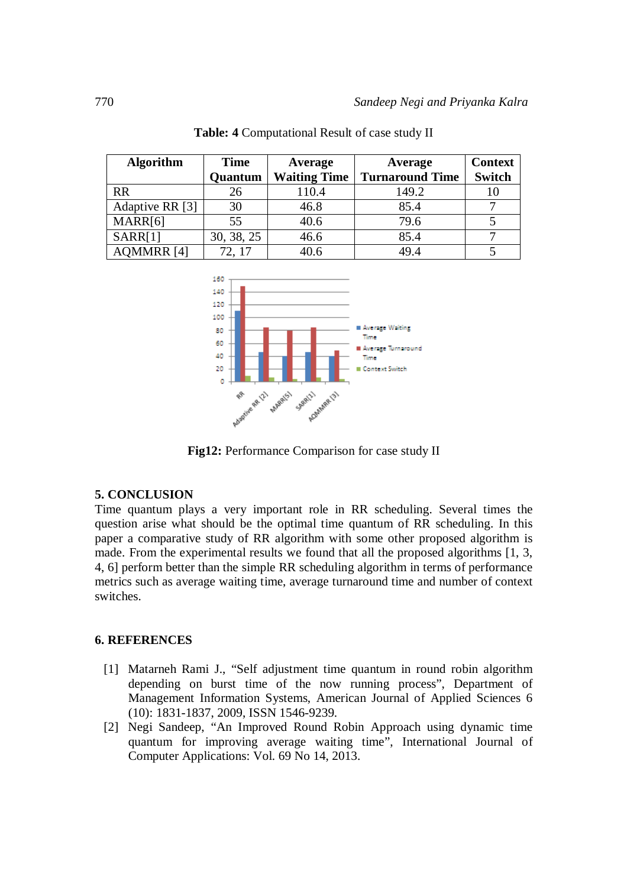| <b>Algorithm</b>  | <b>Time</b>    | Average             | Average                | <b>Context</b> |
|-------------------|----------------|---------------------|------------------------|----------------|
|                   | <b>Quantum</b> | <b>Waiting Time</b> | <b>Turnaround Time</b> | <b>Switch</b>  |
| <b>RR</b>         | 26             | 110.4               | 149.2                  | 10             |
| Adaptive RR [3]   | 30             | 46.8                | 85.4                   |                |
| MARR[6]           | 55             | 40.6                | 79.6                   |                |
| SARR[1]           | 30, 38, 25     | 46.6                | 85.4                   |                |
| <b>AQMMRR [4]</b> | 72, 17         | 40.6                | 49.4                   |                |
|                   |                |                     |                        |                |





**Fig12:** Performance Comparison for case study II

# **5. CONCLUSION**

Time quantum plays a very important role in RR scheduling. Several times the question arise what should be the optimal time quantum of RR scheduling. In this paper a comparative study of RR algorithm with some other proposed algorithm is made. From the experimental results we found that all the proposed algorithms [1, 3, 4, 6] perform better than the simple RR scheduling algorithm in terms of performance metrics such as average waiting time, average turnaround time and number of context switches.

# **6. REFERENCES**

- [1] Matarneh Rami J., "Self adjustment time quantum in round robin algorithm depending on burst time of the now running process", Department of Management Information Systems, American Journal of Applied Sciences 6 (10): 1831-1837, 2009, ISSN 1546-9239.
- [2] Negi Sandeep, "An Improved Round Robin Approach using dynamic time quantum for improving average waiting time", International Journal of Computer Applications: Vol. 69 No 14, 2013.